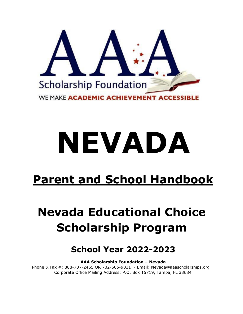

# **NEVADA**

# **Parent and School Handbook**

# **Nevada Educational Choice Scholarship Program**

# **School Year 2022-2023**

**AAA Scholarship Foundation – Nevada** 

Phone & Fax  $\#$ : 888-707-2465 OR 702-605-9031  $\sim$  Email: Nevada@aaascholarships.org Corporate Office Mailing Address: P.O. Box 15719, Tampa, FL 33684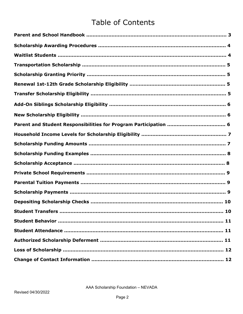## **Table of Contents**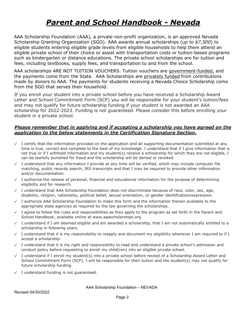## *Parent and School Handbook - Nevada*

AAA Scholarship Foundation (AAA), a private non-profit organization, is an approved Nevada Scholarship Granting Organization (SGO). AAA awards annual scholarships (*up to \$7,500*) to eligible students entering eligible grade levels from eligible households to help them attend an eligible private school of their choice or assist with transportation costs or tuition-based programs such as kindergarten or distance educations. The private school scholarships are for tuition and fees, including textbooks, supply fees, and transportation to and from the school.

AAA scholarships ARE NOT TUITION VOUCHERS. Tuition vouchers are government-funded, and the payments come from the State. AAA Scholarships are privately funded from contributions made by donors to AAA. The payments for students receiving a Nevada Choice Scholarship come from the SGO that serves their household.

If you enroll your student into a private school before you have received a Scholarship Award Letter and School Commitment Form (SCF) you will be responsible for your student's tuition/fees and may not qualify for future scholarship funding if your student is not awarded an AAA scholarship for 2022-2023. Funding is not guaranteed. Please consider this before enrolling your student in a private school.

#### Please remember that in applying and if accepting a scholarship you have agreed on the application to the below statements in the Certification Signature Section.

- √ I certify that the information provided on the application and all supporting documentation submitted at any time is true, correct and complete to the best of my knowledge. I understand that if I give information that is not true or if I withhold information and my student(s) receive a scholarship for which they are not eligible, I can be lawfully punished for fraud and the scholarship will be denied or revoked.
- $\sqrt{ }$  I understand that any information I provide at any time will be verified, which may include computer file matching, public records search, IRS transcripts and that I may be required to provide other information and/or documentation.
- √ I authorize the release of personal, financial and educational information for the purpose of determining eligibility and for research.
- √ I understand that AAA Scholarship Foundation does not discriminate because of race, color, sex, age, disability, religion, nationality, political belief, sexual orientation, or gender identification/expression.
- √ I authorize AAA Scholarship Foundation to make this form and the information therein available to the appropriate state agencies as required by the law governing the scholarships.
- $\sqrt{ }$  I agree to follow the rules and responsibilities as they apply to the program as set forth in the Parent and School Handbook, available online at www.aaascholarships.org.
- √ I understand if I am deemed eligible and am awarded a scholarship, that I am not automatically entitled to a scholarship in following years.
- $\sqrt{ }$  I understand that it is my responsibility to reapply and document my eligibility whenever I am required to if I accept a scholarship.
- √ I understand that it is my right and responsibility to read and understand a private school's admission and conduct policy before requesting to enroll my child(ren) into an eligible private school.
- √ I understand if I enroll my student(s) into a private school before receipt of a Scholarship Award Letter and School Commitment Form (SCF), I will be responsible for their tuition and the student(s) may not qualify for future scholarship funding.
- √ I understand funding is not guaranteed.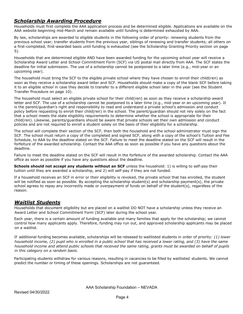#### *Scholarship Awarding Procedure*

Households must first complete the AAA application process and be determined eligible. Applications are available on the AAA website beginning mid-March and remain available until funding is determined exhausted by AAA.

By law, scholarships are awarded to eligible students in the following order of priority: renewing students from the previous school year; transfer students from the previous year, siblings of renewing and transfer students; all others on a first-completed, first-awarded basis until funding is exhausted (see the Scholarship Granting Priority section on page 5).

Households that are determined eligible AND have been awarded funding for the upcoming school year will receive a Scholarship Award Letter and School Commitment Form (SCF) via US postal mail directly from AAA. The SCF states the deadline for initial submission. The use of a scholarship cannot be postponed to a later time (e.g., mid-year or an upcoming year).

The household must bring the SCF to the eligible private school where they have chosen to enroll their child(ren) as soon as they receive a scholarship award letter and SCF. Households should make a copy of the blank SCF before taking it to an eligible school in case they decide to transfer to a different eligible school later in the year (see the Student Transfer Procedure on page 10).

The household must select an eligible private school for their child(ren) as soon as they receive a scholarship award letter and SCF. The use of a scholarship cannot be postponed to a later time (e.g., mid-year or an upcoming year). It is the parent/guardian's right and responsibility to read and understand a private school's admission and conduct policy before requesting to enroll their child(ren) in the school. The parent/guardian should not rely solely on the fact that a school meets the state eligibility requirements to determine whether the school is appropriate for their child(ren). Likewise, parents/guardians should be aware that private schools set their own admission and conduct policies and are not required to enroll a student solely on the basis of their eligibility for a scholarship.

The school will complete their section of the SCF, then both the household and the school administrator must sign the SCF. The school must return a copy of the completed and signed SCF, along with a copy of the school's Tuition and Fee Schedule, to AAA by the deadline stated on the SCF. Failure to meet the deadline stated on the SCF will result in the forfeiture of the awarded scholarship. Contact the AAA office as soon as possible if you have any questions about the deadline.

Failure to meet the deadline stated on the SCF will result in the forfeiture of the awarded scholarship. Contact the AAA office as soon as possible if you have any questions about the deadline.

**Schools should not accept any students without an SCF** unless the household: 1) is willing to self-pay their tuition until they are awarded a scholarship, and 2) will self-pay if they are not funded.

If a household receives an SCF in error or their eligibility is revoked, the private school that has enrolled, the student will be notified as soon as possible. By accepting the scholarship student(s) and scholarship payment(s), the private school agrees to repay any incorrectly made or overpayment of funds on behalf of the student(s), regardless of the reason.

#### *Waitlist Students*

Households that document eligibility but are placed on a waitlist DO NOT have a scholarship unless they receive an Award Letter and School Commitment Form (SCF) later during the school year.

Each year, there is a certain amount of funding available and many families that apply for the scholarship; we cannot control how many applicants apply. Therefore, funding may run out, and approved scholarship applicants may be placed on a waitlist.

If additional funding becomes available, scholarships will be released to waitlisted students in order of priority: *(1) lower household income, (2) pupil who is enrolled in a public school that has received a lower rating, and (3) have the same household income and attend public schools that received the same rating, grants must be awarded on behalf of pupils in this category on a random basis.*

Participating students withdraw for various reasons, resulting in vacancies to be filled by waitlisted students. We cannot predict the number or timing of these openings. Scholarships are not guaranteed.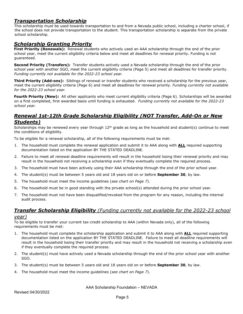#### *Transportation Scholarship*

This scholarship must be used towards transportation to and from a Nevada public school, including a charter school, if the school does not provide transportation to the student. This transportation scholarship is separate from the private school scholarship.

#### *Scholarship Granting Priority*

**First Priority (Renewals):** Renewal students who actively used an AAA scholarship through the end of the prior school year, meet the current eligibility criteria below and meet all deadlines for renewal priority. Funding is not guaranteed.

**Second Priority (Transfers):** Transfer students actively used a Nevada scholarship through the end of the prior school year with another SGO, meet the current eligibility criteria (Page 5) and meet all deadlines for transfer priority. *Funding currently not available for the 2022-23 school year.*

**Third Priority (Add-ons):** Siblings of renewal or transfer students who received a scholarship for the previous year, meet the current eligibility criteria (Page 6) and meet all deadlines for renewal priority. *Funding currently not available for the 2022-23 school year.*

**Fourth Priority (New):** All other applicants who meet current eligibility criteria (Page 6). Scholarships will be awarded on a first completed, first awarded basis until funding is exhausted. *Funding currently not available for the 2022-23 school year.*

#### *Renewal 1st-12th Grade Scholarship Eligibility (NOT Transfer, Add-On or New Students)*

Scholarships may be renewed every year through  $12<sup>th</sup>$  grade as long as the household and student(s) continue to meet the conditions of eligibility.

To be eligible for a renewal scholarship, all of the following requirements must be met:

- 1. The household must complete the renewal application and submit it to AAA along with **ALL** required supporting documentation listed on the application BY THE STATED DEADLINE.
- 2. Failure to meet all renewal deadline requirements will result in the household losing their renewal priority and may result in the household not receiving a scholarship even if they eventually complete the required process.
- 3. The household must have been actively using their AAA scholarship through the end of the prior school year.
- 4. The student(s) must be between 5 years old and 18 years old on or before **September 30**, by law.
- 5. The household must meet the income guidelines (*see chart on Page 7*).
- 6. The household must be in good standing with the private school(s) attended during the prior school year.
- 7. The household must not have been disqualified/revoked from the program for any reason, including the internal audit process.

#### *Transfer Scholarship Eligibility (Funding currently not available for the 2022-23 school*

#### *year)*

To be eligible to transfer your current tax-credit scholarship to AAA (within Nevada only), all of the following requirements must be met:

- 1. The household must complete the scholarship application and submit it to AAA along with **ALL** required supporting documentation listed on the application BY THE STATED DEADLINE. Failure to meet all deadline requirements will result in the household losing their transfer priority and may result in the household not receiving a scholarship even if they eventually complete the required process.
- 2. The student(s) must have actively used a Nevada scholarship through the end of the prior school year with another SGO.
- 3. The student(s) must be between 5 years old and 18 years old on or before **September 30**, by law.
- 4. The household must meet the income guidelines (*see chart on Page 7*).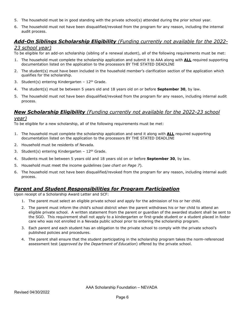- 5. The household must be in good standing with the private school(s) attended during the prior school year.
- 6. The household must not have been disqualified/revoked from the program for any reason, including the internal audit process.

### *Add-On Siblings Scholarship Eligibility (Funding currently not available for the 2022-*

#### *23 school year)*

To be eligible for an add-on scholarship (sibling of a renewal student), all of the following requirements must be met:

- 1. The household must complete the scholarship application and submit it to AAA along with **ALL** required supporting documentation listed on the application to the processors BY THE STATED DEADLINE
- 2. The student(s) must have been included in the household member's clarification section of the application which qualifies for the scholarship.
- 3. Student(s) entering Kindergarten  $12<sup>th</sup>$  Grade.
- 4. The student(s) must be between 5 years old and 18 years old on or before **September 30**, by law.
- 5. The household must not have been disqualified/revoked from the program for any reason, including internal audit process.

#### *New Scholarship Eligibility (Funding currently not available for the 2022-23 school*

#### *year)*

To be eligible for a new scholarship, all of the following requirements must be met:

- 1. The household must complete the scholarship application and send it along with **ALL** required supporting documentation listed on the application to the processors BY THE STATED DEADLINE
- 2. Household must be residents of Nevada.
- 3. Student(s) entering Kindergarten  $12<sup>th</sup>$  Grade.
- 4. Students must be between 5 years old and 18 years old on or before **September 30**, by law.
- 5. Household must meet the income guidelines (*see chart on Page 7*).
- 6. The household must not have been disqualified/revoked from the program for any reason, including internal audit process.

#### *Parent and Student Responsibilities for Program Participation*

Upon receipt of a Scholarship Award Letter and SCF:

- 1. The parent must select an eligible private school and apply for the admission of his or her child.
- 2. The parent must inform the child's school district when the parent withdraws his or her child to attend an eligible private school. A written statement from the parent or guardian of the awarded student shall be sent to the SGO. This requirement shall not apply to a kindergarten or first-grade student or a student placed in foster care who was not enrolled in a Nevada public school prior to entering the scholarship program.
- 3. Each parent and each student has an obligation to the private school to comply with the private school's published policies and procedures.
- 4. The parent shall ensure that the student participating in the scholarship program takes the norm-referenced assessment test (*approved by the Department of Education*) offered by the private school.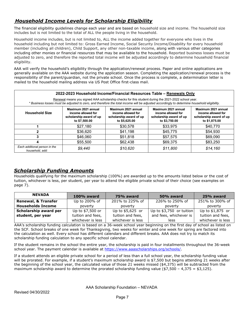#### *Household Income Levels for Scholarship Eligibility*

The financial eligibility guidelines change each year and are based on household size and income. The household size includes but is not limited to the total of ALL the people living in the household.

Household income includes, but is not limited to, ALL the income added together for everyone who lives in the household including but not limited to: Gross Earned Income, Social Security Income/Disability for every household member (including all children), Child Support, any other non-taxable income, along with various other categories including other monies or financial resources that may be available to the household. Reported business losses must be adjusted to zero, and therefore the reported total income will be adjusted accordingly to determine household financial eligibility.

AAA will verify the household's eligibility through the application/renewal process. Paper and online applications are generally available on the AAA website during the application season. Completing the application/renewal process is the responsibility of the parent/guardian, not the private school. Once the process is complete, a determination letter is mailed to the household mailing address via US Post Office first-class mail.

| 2022-2023 Household Income/Financial Resources Table - Renewals Only<br>Renewal means you signed AAA scholarship checks for this student during the 2021-2022 school year.<br>* Business losses must be adjusted to zero, and therefore the total income will be adjusted accordingly to determine household eligibility. |                                                                                       |                                                                                       |                                                                                       |                                                                                       |  |  |
|---------------------------------------------------------------------------------------------------------------------------------------------------------------------------------------------------------------------------------------------------------------------------------------------------------------------------|---------------------------------------------------------------------------------------|---------------------------------------------------------------------------------------|---------------------------------------------------------------------------------------|---------------------------------------------------------------------------------------|--|--|
| <b>Household Size</b>                                                                                                                                                                                                                                                                                                     | Maximum 2021 annual<br>income allowed for<br>scholarship award of up<br>to \$7,500.00 | Maximum 2021 annual<br>income allowed for<br>scholarship award of up<br>to \$5,625.00 | Maximum 2021 annual<br>income allowed for<br>scholarship award of up<br>to \$3,750.00 | Maximum 2021 annual<br>income allowed for<br>scholarship award of up<br>to \$1,875.00 |  |  |
|                                                                                                                                                                                                                                                                                                                           | \$27,180                                                                              | \$30,578                                                                              | \$33,975                                                                              | \$40,770                                                                              |  |  |
| 2                                                                                                                                                                                                                                                                                                                         | \$36,620                                                                              | \$41,198                                                                              | \$45,775                                                                              | \$54,930                                                                              |  |  |
| 3                                                                                                                                                                                                                                                                                                                         | \$46,060                                                                              | \$51,818                                                                              | \$57,575                                                                              | \$69,090                                                                              |  |  |
|                                                                                                                                                                                                                                                                                                                           | \$55,500                                                                              | \$62,438                                                                              | \$69,375                                                                              | \$83,250                                                                              |  |  |
| Each additional person in the<br>household, add:                                                                                                                                                                                                                                                                          | \$9.440                                                                               | \$10,620                                                                              | \$11.800                                                                              | \$14.160                                                                              |  |  |

#### *Scholarship Funding Amounts*

Households qualifying for the maximum scholarship (100%) are awarded up to the amounts listed below or the cost of tuition, whichever is less, per student, per year to attend the eligible private school of their choice (see examples on page 7).

| <b>NEVADA</b>                  | $100\%$ award     | 75% award         | 50% award                 | 25% award         |
|--------------------------------|-------------------|-------------------|---------------------------|-------------------|
| <b>Renewal, &amp; Transfer</b> | Up to 200% of     | 201% to 225% of   | 226% to 250% of           | 251% to 300% of   |
| <b>Households Income</b>       | poverty           | poverty           | poverty                   | poverty           |
| Scholarship award per          | Up to \$7,500 or  | Up to \$5,625 or  | Up to $$3,750$ or tuition | Up to \$1,875 or  |
| student, per year              | tuition and fees, | tuition and fees, | and fees, whichever is    | tuition and fees, |
|                                | whichever is less | whichever is less | less                      | whichever is less |

AAA's scholarship funding calculation is based on a 36-week school year beginning on the first day of school as listed on the SCF. School breaks of one week for Thanksgiving, two weeks for winter and one week for spring are factored into the calculation as well. Every school has different calendars and different breaks. AAA does not try to match its scholarship funding calculation to any specific school calendar.

If the student remains in the school the entire year, the scholarship is paid in four installments throughout the 36-week school year. The payment calendar is available at<https://www.aaascholarships.org/schools/>[.](http://www.aaascholarships.org/schools/nevada/)

If a student attends an eligible private school for a period of less than a full school year, the scholarship funding value will be prorated. For example, if a student's maximum scholarship award is \$7,500 but begins attending 21 weeks after the beginning of the school year, the calculated value of those 21 weeks missed (\$4,375) will be subtracted from the maximum scholarship award to determine the prorated scholarship funding value (\$7,500 – 4,375 = \$3,125).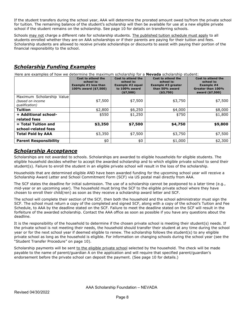If the student transfers during the school year, AAA will determine the prorated amount owed to/from the private school for tuition. The remaining balance of the student's scholarship will then be available for use at a new eligible private school if the student remains on the scholarship. See page 10 for details on transferring schools.

Schools may not charge a different rate for scholarship students. The published tuition schedule must apply to all students enrolled whether they are on AAA scholarships or if their parents are paying for their tuition and fees. Scholarship students are allowed to receive private scholarships or discounts to assist with paying their portion of the financial responsibility to the school.

#### *Scholarship Funding Examples*

Here are examples of how we determine the maximum scholarship for a **Nevada** scholarship student:

|                              | Cost to attend the<br>school is:<br><b>Example #1 less than</b><br>100% award (\$7,500) | Cost to attend the<br>school is:<br>Example #2 equal<br>to 100% award<br>( \$7,500) | Cost to attend the<br>school is:<br>Example #3 greater<br>than 50% award<br>( \$3,750) | Cost to attend the<br>school is:<br>Example #4<br>Greater than 100%<br>award (\$7,500) |
|------------------------------|-----------------------------------------------------------------------------------------|-------------------------------------------------------------------------------------|----------------------------------------------------------------------------------------|----------------------------------------------------------------------------------------|
| Maximum Scholarship Value    |                                                                                         |                                                                                     |                                                                                        |                                                                                        |
| (based on income             | \$7,500                                                                                 | \$7,500                                                                             | \$3,750                                                                                | \$7,500                                                                                |
| qualification)               |                                                                                         |                                                                                     |                                                                                        |                                                                                        |
| <b>Tuition</b>               | \$2,800                                                                                 | \$6,250                                                                             | \$4,000                                                                                | \$8,000                                                                                |
| + Additional school-         | \$550                                                                                   | \$1,250                                                                             | \$750                                                                                  | \$1,800                                                                                |
| related fees                 |                                                                                         |                                                                                     |                                                                                        |                                                                                        |
| $=$ Total Tuition and        | \$3,350                                                                                 | \$7,500                                                                             | \$4,750                                                                                | \$9,800                                                                                |
| school-related fees          |                                                                                         |                                                                                     |                                                                                        |                                                                                        |
| <b>Total Paid by AAA</b>     | \$3,350                                                                                 | \$7,500                                                                             | \$3,750                                                                                | \$7,500                                                                                |
| <b>Parent Responsibility</b> | \$0                                                                                     | \$0                                                                                 | \$1,000                                                                                | \$2,300                                                                                |

#### *Scholarship Acceptance*

Scholarships are not awarded to schools. Scholarships are awarded to eligible households for eligible students. The eligible household decides whether to accept the awarded scholarship and to which eligible private school to send their student(s). Failure to enroll the student in an eligible private school will result in the loss of the scholarship.

Households that are determined eligible AND have been awarded funding for the upcoming school year will receive a Scholarship Award Letter and School Commitment Form (SCF) via US postal mail directly from AAA.

The SCF states the deadline for initial submission. The use of a scholarship cannot be postponed to a later time (e.g., mid-year or an upcoming year). The household must bring the SCF to the eligible private school where they have chosen to enroll their child(ren) as soon as they receive a scholarship award letter and SCF.

The school will complete their section of the SCF, then both the household and the school administrator must sign the SCF. The school must return a copy of the completed and signed SCF, along with a copy of the school's Tuition and Fee Schedule, to AAA by the deadline stated on the SCF. Failure to meet the deadline stated on the SCF will result in the forfeiture of the awarded scholarship. Contact the AAA office as soon as possible if you have any questions about the deadline.

It is the responsibility of the household to determine if the chosen private school is meeting their student(s) needs. If the private school is not meeting their needs, the household should transfer their student at any time during the school year or for the next school year if deemed eligible to renew. The scholarship follows the student(s) to any eligible private school as long as the household is eligible. For information on changing schools during the school year (see the "Student Transfer Procedure" on page 10).

Scholarship payments will be sent to the eligible private school selected by the household. The check will be made payable to the name of parent/guardian A on the application and will require that specified parent/guardian's endorsement before the private school can deposit the payment. (See page 10 for details.)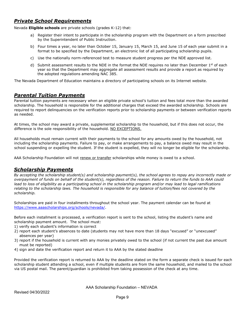#### *Private School Requirements*

Nevada **Eligible schools** are private schools (grades K-12) that:

- a) Register their intent to participate in the scholarship program with the Department on a form prescribed by the Superintendent of Public Instruction.
- b) Four times a year, no later than October 15, January 15, March 15, and June 15 of each year submit in a format to be specified by the Department, an electronic list of all participating scholarship pupils.
- c) Use the nationally norm-referenced test to measure student progress per the NDE approved list.
- d) Submit assessment results to the NDE in the format the NDE requires no later than December  $1^{st}$  of each year so that the Department may aggregate all assessment results and provide a report as required by the adopted regulations amending NAC 385.

The Nevada Department of Education maintains a directory of participating schools on its Internet website.

#### *Parental Tuition Payments*

Parental tuition payments are necessary when an eligible private school's tuition and fees total *more* than the awarded scholarship. The household is responsible for the additional charges that exceed the awarded scholarship. Schools are required to report delinquencies on the verification reports prior to scholarship payments or between verification reports as needed.

At times, the school may award a private, supplemental scholarship to the household, but if this does not occur, the difference is the sole responsibility of the household. NO EXCEPTIONS.

All households must remain current with their payments to the school for any amounts owed by the household, not including the scholarship payments. Failure to pay, or make arrangements to pay, a balance owed may result in the school suspending or expelling the student. If the student is expelled, they will no longer be eligible for the scholarship.

AAA Scholarship Foundation will not renew or transfer scholarships while money is owed to a school.

#### *Scholarship Payments*

*By accepting the scholarship student(s) and scholarship payment(s), the school agrees to repay any incorrectly made or overpayment of funds on behalf of the student(s), regardless of the reason. Failure to return the funds to AAA could lead to loss of eligibility as a participating school in the scholarship program and/or may lead to legal ramifications relating to the scholarship laws. The household is responsible for any balance of tuition/fees not covered by the scholarship.*

Scholarships are paid in four installments throughout the school year. The payment calendar can be found at [https://www.aaascholarships.org/schools/nevada/.](https://www.aaascholarships.org/schools/nevada/)

Before each installment is processed, a verification report is sent to the school, listing the student's name and scholarship payment amount. The school must:

- 1) verify each student's information is correct
- 2) report each student's absences to date (students may not have more than 18 days "excused" or "unexcused" absences per year)
- 3) report if the household is current with any monies privately owed to the school (if not current the past due amount must be reported)
- 4) sign and date the verification report and return it to AAA by the stated deadline

Provided the verification report is returned to AAA by the deadline stated on the form a separate check is issued for each scholarship student attending a school, even if multiple students are from the same household, and mailed to the school via US postal mail. The parent/guardian is prohibited from taking possession of the check at any time.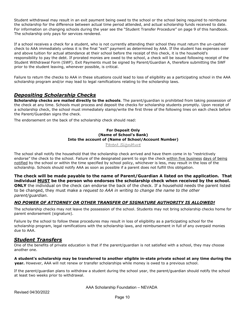Student withdrawal may result in an exit payment being owed to the school or the school being required to reimburse the scholarship for the difference between actual time period attended, and actual scholarship funds received to date. For information on changing schools during the year see the "Student Transfer Procedure" on page 9 of this handbook. The scholarship only pays for services rendered.

If a school receives a check for a student, who is not currently attending their school they must return the un-cashed check to AAA immediately unless it is the final "exit" payment as determined by AAA. If the student has expenses over and above tuition for actual attendance at their school before the receipt of this check, it is the household's responsibility to pay the debt. If prorated monies are owed to the school, a check will be issued following receipt of the Student Withdrawal Form (SWF). Exit Payments must be signed by Parent/Guardian A, therefore submitting the SWF prior to the student leaving, whenever possible, is critical.

Failure to return the checks to AAA in these situations could lead to loss of eligibility as a participating school in the AAA scholarship program and/or may lead to legal ramifications relating to the scholarship laws.

#### *Depositing Scholarship Checks*

**Scholarship checks are mailed directly to the schools**. The parent/guardian is prohibited from taking possession of the check at any time. Schools must process and deposit the checks for scholarship students promptly. Upon receipt of a scholarship check, the school must immediately stamp/write the first three of the following lines on each check before the Parent/Guardian signs the check.

The endorsement on the back of the scholarship check should read:

#### **For Deposit Only (Name of School's Bank) Into the account of (Name of School/Account Number)**

Parent Signature

The school shall notify the household that the scholarship check arrived and have them come in to "restrictively endorse" the check to the school. Failure of the designated parent to sign the check within five business days of being notified by the school or within the time specified by school policy, whichever is less, may result in the loss of the scholarship. Schools should notify AAA as soon as possible if a parent does not fulfill this obligation.

**The check will be made payable to the name of Parent/Guardian A listed on the application. That individual MUST be the person who endorses the scholarship check when received by the school. ONLY** the individual on the check can endorse the back of the check. If a household needs the parent listed to be changed, they must make a *request to AAA in writing to change the name to the other parent/guardian.*

#### *NO POWER OF ATTORNEY OR OTHER TRANSFER OF SIGNATURE AUTHORITY IS ALLOWED!*

The scholarship checks may not leave the possession of the school. Students may not bring scholarship checks home for parent endorsement (signature).

Failure by the school to follow these procedures may result in loss of eligibility as a participating school for the scholarship program, legal ramifications with the scholarship laws, and reimbursement in full of any overpaid monies due to AAA.

#### *Student Transfers*

One of the benefits of private education is that if the parent/guardian is not satisfied with a school, they may choose another one.

#### **A student's scholarship may be transferred to another eligible in-state private school at any time during the year.** However, AAA will not renew or transfer scholarships while money is owed to a previous school.

If the parent/guardian plans to withdraw a student during the school year, the parent/guardian should notify the school at least two weeks prior to withdrawal.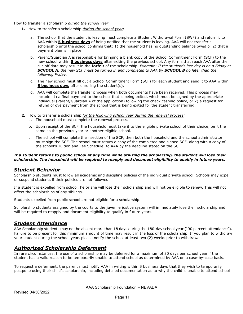How to transfer a scholarship *during the school year*:

- **1.** How to transfer a scholarship *during the school year*:
	- a. The school that the student is leaving must complete a Student Withdrawal Form (SWF) and return it to AAA within **5 business days** of being notified that the student is leaving. AAA will not transfer a scholarship until the school confirms that: 1) the household has no outstanding balance owed or 2) that a payment plan is in place.
	- b. Parent/Guardian A is responsible for bringing a blank copy of the School Commitment Form (SCF) to the new school within **5 business days** after exiting the previous school. Any forms that reach AAA after the cut-off date may result in the **forfeit** of the scholarship*. Example: If the student's last day is on a Friday at SCHOOL A, the new SCF must be turned in and completed to AAA by SCHOOL B no later than the following Friday.*
	- c. The new school must fill out a School Commitment Form (SCF) for each student and send it to AAA within **5 business days** after-enrolling the student(s).
	- d. AAA will complete the transfer process when both documents have been received. This process may include: 1) a final payment to the school that is being exited, which must be signed by the appropriate individual (Parent/Guardian A of the application) following the check cashing policy, or 2) a request for refund of overpayment from the school that is being exited for the student transferring.
- **2.** How to transfer a scholarship *for the following school year during the renewal process:*
	- a. The household must complete the renewal process.
	- b. Upon receipt of the SCF, the household must take it to the eligible private school of their choice, be it the same as the previous year or another eligible school.
	- c. The school will complete their section of the SCF, then both the household and the school administrator must sign the SCF. The school must return a copy of the completed and signed SCF, along with a copy of the school's Tuition and Fee Schedule, to AAA by the deadline stated on the SCF.

#### *If a student returns to public school at any time while utilizing the scholarship, the student will lose their scholarship. The household will be required to reapply and document eligibility to qualify in future years.*

#### *Student Behavior*

Scholarship students must follow all academic and discipline policies of the individual private school. Schools may expel or suspend students if their policies are not followed.

If a student is expelled from school, he or she will lose their scholarship and will not be eligible to renew. This will not affect the scholarships of any siblings.

Students expelled from public school are not eligible for a scholarship.

Scholarship students assigned by the courts to the juvenile justice system will immediately lose their scholarship and will be required to reapply and document eligibility to qualify in future years.

#### *Student Attendance*

AAA Scholarship students may not be absent more than 18 days during the 180-day school year ("90 percent attendance"). Failure to be present for this minimum amount of time may result in the loss of the scholarship. If you plan to withdraw your student during the school year, please notify the school at least two (2) weeks prior to withdrawal.

#### *Authorized Scholarship Deferment*

In rare circumstances, the use of a scholarship may be deferred for a maximum of 30 days per school year if the student has a valid reason to be temporarily unable to attend school as determined by AAA on a case-by-case basis.

To request a deferment, the parent must notify AAA in writing within 5 business days that they wish to temporarily postpone using their child's scholarship, including detailed documentation as to why the child is unable to attend school